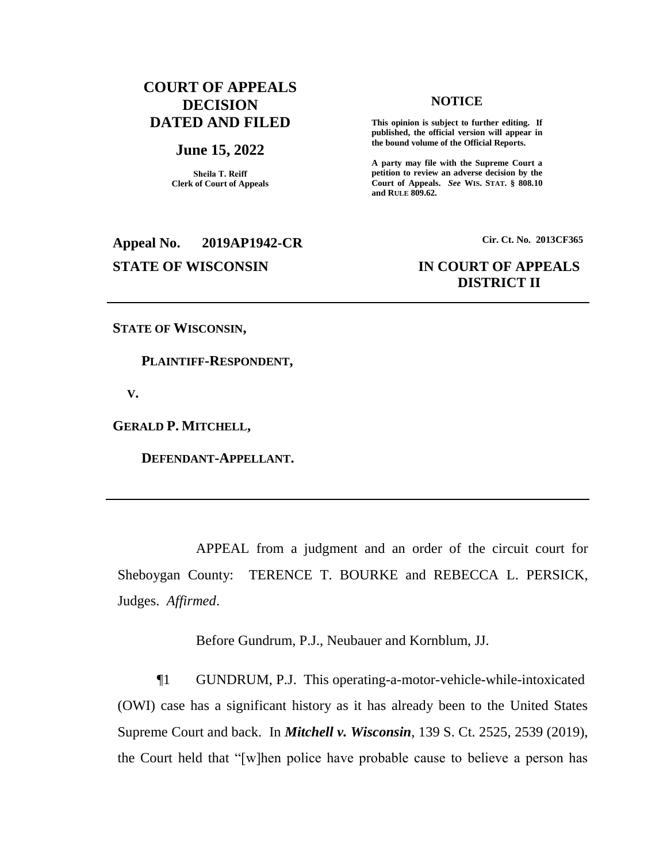## **COURT OF APPEALS DECISION DATED AND FILED**

### **June 15, 2022**

**Sheila T. Reiff Clerk of Court of Appeals**

**Appeal No. 2019AP1942-CR Cir. Ct. No. 2013CF365 STATE OF WISCONSIN IN COURT OF APPEALS**

### **NOTICE**

**This opinion is subject to further editing. If published, the official version will appear in the bound volume of the Official Reports.** 

**A party may file with the Supreme Court a petition to review an adverse decision by the Court of Appeals.** *See* **WIS. STAT. § 808.10 and RULE 809.62.** 

# **DISTRICT II**

**STATE OF WISCONSIN,**

 **PLAINTIFF-RESPONDENT,**

 **V.**

**GERALD P. MITCHELL,**

 **DEFENDANT-APPELLANT.**

APPEAL from a judgment and an order of the circuit court for Sheboygan County: TERENCE T. BOURKE and REBECCA L. PERSICK, Judges. *Affirmed*.

Before Gundrum, P.J., Neubauer and Kornblum, JJ.

¶1 GUNDRUM, P.J. This operating-a-motor-vehicle-while-intoxicated (OWI) case has a significant history as it has already been to the United States Supreme Court and back. In *Mitchell v. Wisconsin*, 139 S. Ct. 2525, 2539 (2019), the Court held that "[w]hen police have probable cause to believe a person has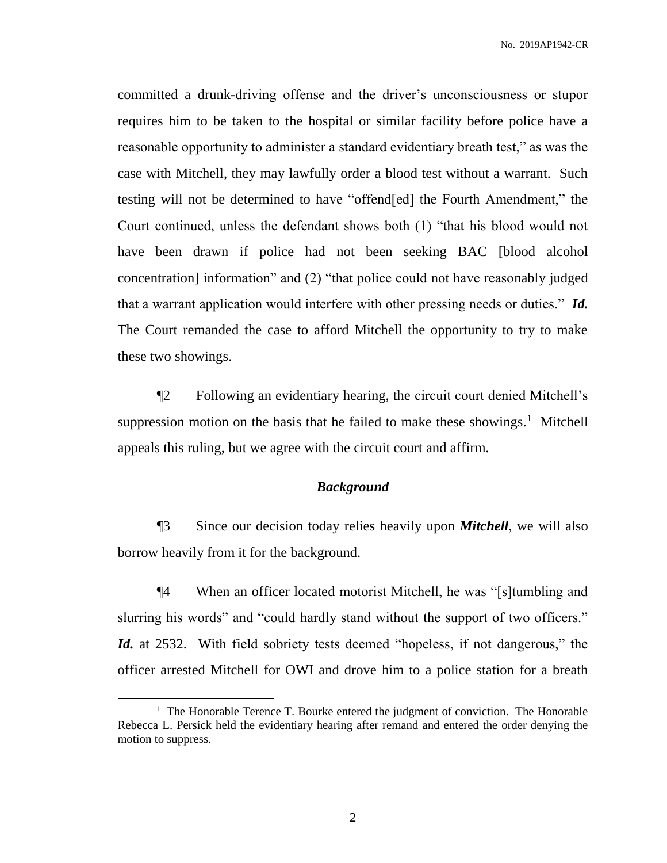committed a drunk-driving offense and the driver's unconsciousness or stupor requires him to be taken to the hospital or similar facility before police have a reasonable opportunity to administer a standard evidentiary breath test," as was the case with Mitchell, they may lawfully order a blood test without a warrant. Such testing will not be determined to have "offend[ed] the Fourth Amendment," the Court continued, unless the defendant shows both (1) "that his blood would not have been drawn if police had not been seeking BAC [blood alcohol concentration] information" and (2) "that police could not have reasonably judged that a warrant application would interfere with other pressing needs or duties." *Id.* The Court remanded the case to afford Mitchell the opportunity to try to make these two showings.

¶2 Following an evidentiary hearing, the circuit court denied Mitchell's suppression motion on the basis that he failed to make these showings.<sup>1</sup> Mitchell appeals this ruling, but we agree with the circuit court and affirm.

## *Background*

¶3 Since our decision today relies heavily upon *Mitchell*, we will also borrow heavily from it for the background.

¶4 When an officer located motorist Mitchell, he was "[s]tumbling and slurring his words" and "could hardly stand without the support of two officers." *Id.* at 2532. With field sobriety tests deemed "hopeless, if not dangerous," the officer arrested Mitchell for OWI and drove him to a police station for a breath

 $\overline{a}$ 

<sup>&</sup>lt;sup>1</sup> The Honorable Terence T. Bourke entered the judgment of conviction. The Honorable Rebecca L. Persick held the evidentiary hearing after remand and entered the order denying the motion to suppress.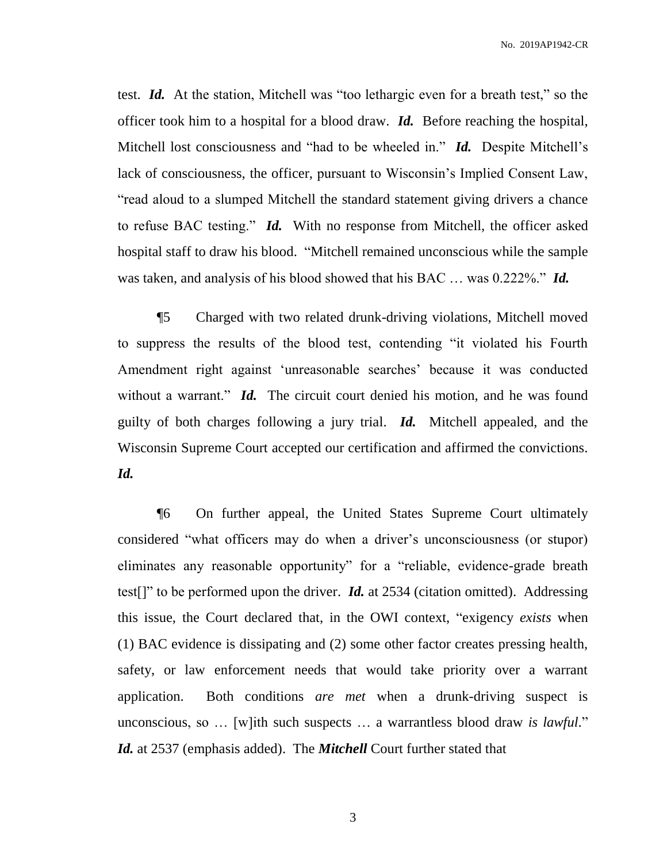test. *Id.* At the station, Mitchell was "too lethargic even for a breath test," so the officer took him to a hospital for a blood draw. *Id.* Before reaching the hospital, Mitchell lost consciousness and "had to be wheeled in." *Id.* Despite Mitchell's lack of consciousness, the officer, pursuant to Wisconsin's Implied Consent Law, "read aloud to a slumped Mitchell the standard statement giving drivers a chance to refuse BAC testing." *Id.* With no response from Mitchell, the officer asked hospital staff to draw his blood. "Mitchell remained unconscious while the sample was taken, and analysis of his blood showed that his BAC … was 0.222%." *Id.*

¶5 Charged with two related drunk-driving violations, Mitchell moved to suppress the results of the blood test, contending "it violated his Fourth Amendment right against 'unreasonable searches' because it was conducted without a warrant." *Id.* The circuit court denied his motion, and he was found guilty of both charges following a jury trial. *Id.* Mitchell appealed, and the Wisconsin Supreme Court accepted our certification and affirmed the convictions. *Id.*

¶6 On further appeal, the United States Supreme Court ultimately considered "what officers may do when a driver's unconsciousness (or stupor) eliminates any reasonable opportunity" for a "reliable, evidence-grade breath test[]" to be performed upon the driver. *Id.* at 2534 (citation omitted). Addressing this issue, the Court declared that, in the OWI context, "exigency *exists* when (1) BAC evidence is dissipating and (2) some other factor creates pressing health, safety, or law enforcement needs that would take priority over a warrant application. Both conditions *are met* when a drunk-driving suspect is unconscious, so … [w]ith such suspects … a warrantless blood draw *is lawful*." *Id.* at 2537 (emphasis added). The *Mitchell* Court further stated that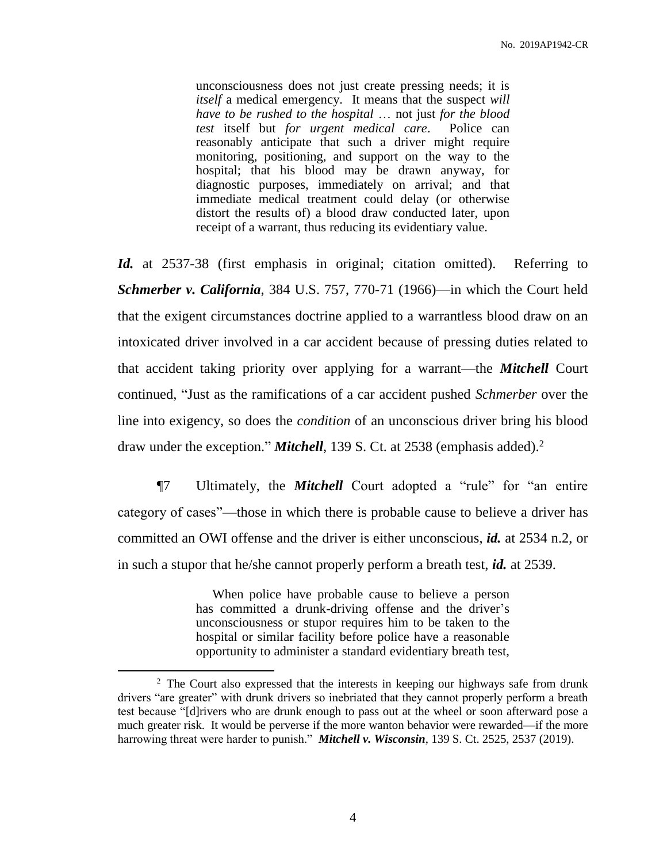unconsciousness does not just create pressing needs; it is *itself* a medical emergency. It means that the suspect *will have to be rushed to the hospital* … not just *for the blood test* itself but *for urgent medical care*. Police can reasonably anticipate that such a driver might require monitoring, positioning, and support on the way to the hospital; that his blood may be drawn anyway, for diagnostic purposes, immediately on arrival; and that immediate medical treatment could delay (or otherwise distort the results of) a blood draw conducted later, upon receipt of a warrant, thus reducing its evidentiary value.

*Id.* at 2537-38 (first emphasis in original; citation omitted). Referring to *Schmerber v. California*, 384 U.S. 757, 770-71 (1966)—in which the Court held that the exigent circumstances doctrine applied to a warrantless blood draw on an intoxicated driver involved in a car accident because of pressing duties related to that accident taking priority over applying for a warrant—the *Mitchell* Court continued, "Just as the ramifications of a car accident pushed *Schmerber* over the line into exigency, so does the *condition* of an unconscious driver bring his blood draw under the exception." *Mitchell*, 139 S. Ct. at 2538 (emphasis added). 2

¶7 Ultimately, the *Mitchell* Court adopted a "rule" for "an entire category of cases"—those in which there is probable cause to believe a driver has committed an OWI offense and the driver is either unconscious, *id.* at 2534 n.2, or in such a stupor that he/she cannot properly perform a breath test, *id.* at 2539.

> When police have probable cause to believe a person has committed a drunk-driving offense and the driver's unconsciousness or stupor requires him to be taken to the hospital or similar facility before police have a reasonable opportunity to administer a standard evidentiary breath test,

 $\overline{a}$ 

<sup>&</sup>lt;sup>2</sup> The Court also expressed that the interests in keeping our highways safe from drunk drivers "are greater" with drunk drivers so inebriated that they cannot properly perform a breath test because "[d]rivers who are drunk enough to pass out at the wheel or soon afterward pose a much greater risk. It would be perverse if the more wanton behavior were rewarded—if the more harrowing threat were harder to punish." *Mitchell v. Wisconsin*, 139 S. Ct. 2525, 2537 (2019).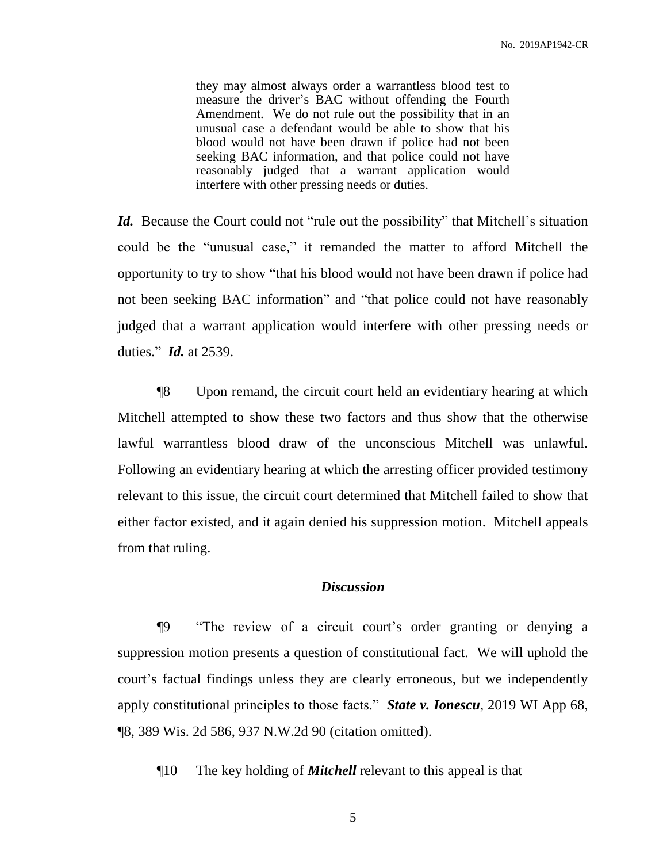they may almost always order a warrantless blood test to measure the driver's BAC without offending the Fourth Amendment. We do not rule out the possibility that in an unusual case a defendant would be able to show that his blood would not have been drawn if police had not been seeking BAC information, and that police could not have reasonably judged that a warrant application would interfere with other pressing needs or duties.

*Id.* Because the Court could not "rule out the possibility" that Mitchell's situation could be the "unusual case," it remanded the matter to afford Mitchell the opportunity to try to show "that his blood would not have been drawn if police had not been seeking BAC information" and "that police could not have reasonably judged that a warrant application would interfere with other pressing needs or duties." *Id.* at 2539.

¶8 Upon remand, the circuit court held an evidentiary hearing at which Mitchell attempted to show these two factors and thus show that the otherwise lawful warrantless blood draw of the unconscious Mitchell was unlawful. Following an evidentiary hearing at which the arresting officer provided testimony relevant to this issue, the circuit court determined that Mitchell failed to show that either factor existed, and it again denied his suppression motion. Mitchell appeals from that ruling.

### *Discussion*

¶9 "The review of a circuit court's order granting or denying a suppression motion presents a question of constitutional fact. We will uphold the court's factual findings unless they are clearly erroneous, but we independently apply constitutional principles to those facts." *State v. Ionescu*, 2019 WI App 68, ¶8, 389 Wis. 2d 586, 937 N.W.2d 90 (citation omitted).

¶10 The key holding of *Mitchell* relevant to this appeal is that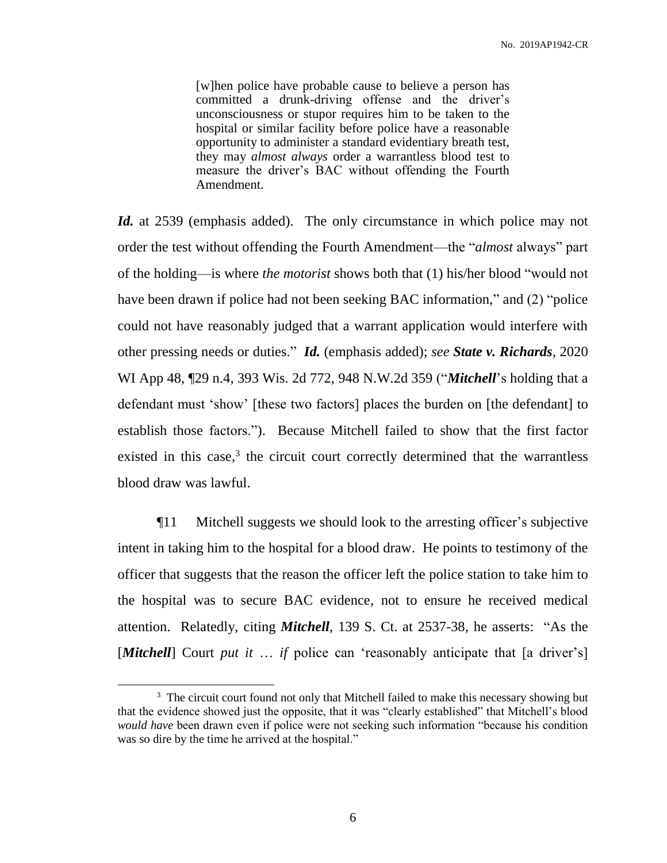[w]hen police have probable cause to believe a person has committed a drunk-driving offense and the driver's unconsciousness or stupor requires him to be taken to the hospital or similar facility before police have a reasonable opportunity to administer a standard evidentiary breath test, they may *almost always* order a warrantless blood test to measure the driver's BAC without offending the Fourth Amendment.

*Id.* at 2539 (emphasis added). The only circumstance in which police may not order the test without offending the Fourth Amendment—the "*almost* always" part of the holding—is where *the motorist* shows both that (1) his/her blood "would not have been drawn if police had not been seeking BAC information," and (2) "police could not have reasonably judged that a warrant application would interfere with other pressing needs or duties." *Id.* (emphasis added); *see State v. Richards*, 2020 WI App 48, ¶29 n.4, 393 Wis. 2d 772, 948 N.W.2d 359 ("*Mitchell*'s holding that a defendant must 'show' [these two factors] places the burden on [the defendant] to establish those factors."). Because Mitchell failed to show that the first factor existed in this case,<sup>3</sup> the circuit court correctly determined that the warrantless blood draw was lawful.

¶11 Mitchell suggests we should look to the arresting officer's subjective intent in taking him to the hospital for a blood draw. He points to testimony of the officer that suggests that the reason the officer left the police station to take him to the hospital was to secure BAC evidence, not to ensure he received medical attention. Relatedly, citing *Mitchell*, 139 S. Ct. at 2537-38, he asserts: "As the [*Mitchell*] Court *put it* ... *if* police can 'reasonably anticipate that [a driver's]

 $\overline{a}$ 

<sup>&</sup>lt;sup>3</sup> The circuit court found not only that Mitchell failed to make this necessary showing but that the evidence showed just the opposite, that it was "clearly established" that Mitchell's blood *would have* been drawn even if police were not seeking such information "because his condition was so dire by the time he arrived at the hospital."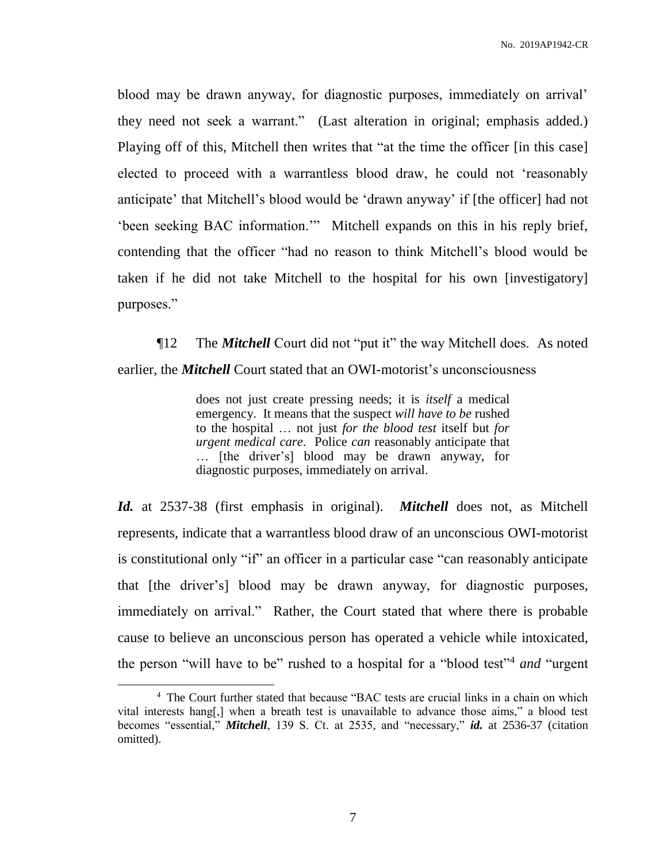blood may be drawn anyway, for diagnostic purposes, immediately on arrival' they need not seek a warrant." (Last alteration in original; emphasis added.) Playing off of this, Mitchell then writes that "at the time the officer [in this case] elected to proceed with a warrantless blood draw, he could not 'reasonably anticipate' that Mitchell's blood would be 'drawn anyway' if [the officer] had not 'been seeking BAC information.'" Mitchell expands on this in his reply brief, contending that the officer "had no reason to think Mitchell's blood would be taken if he did not take Mitchell to the hospital for his own [investigatory] purposes."

¶12 The *Mitchell* Court did not "put it" the way Mitchell does. As noted earlier, the *Mitchell* Court stated that an OWI-motorist's unconsciousness

> does not just create pressing needs; it is *itself* a medical emergency. It means that the suspect *will have to be* rushed to the hospital … not just *for the blood test* itself but *for urgent medical care*. Police *can* reasonably anticipate that … [the driver's] blood may be drawn anyway, for diagnostic purposes, immediately on arrival.

*Id.* at 2537-38 (first emphasis in original). *Mitchell* does not, as Mitchell represents, indicate that a warrantless blood draw of an unconscious OWI-motorist is constitutional only "if" an officer in a particular case "can reasonably anticipate that [the driver's] blood may be drawn anyway, for diagnostic purposes, immediately on arrival." Rather, the Court stated that where there is probable cause to believe an unconscious person has operated a vehicle while intoxicated, the person "will have to be" rushed to a hospital for a "blood test"<sup>4</sup> *and* "urgent

 $\overline{a}$ 

<sup>&</sup>lt;sup>4</sup> The Court further stated that because "BAC tests are crucial links in a chain on which vital interests hang[,] when a breath test is unavailable to advance those aims," a blood test becomes "essential," *Mitchell*, 139 S. Ct. at 2535, and "necessary," *id.* at 2536-37 (citation omitted).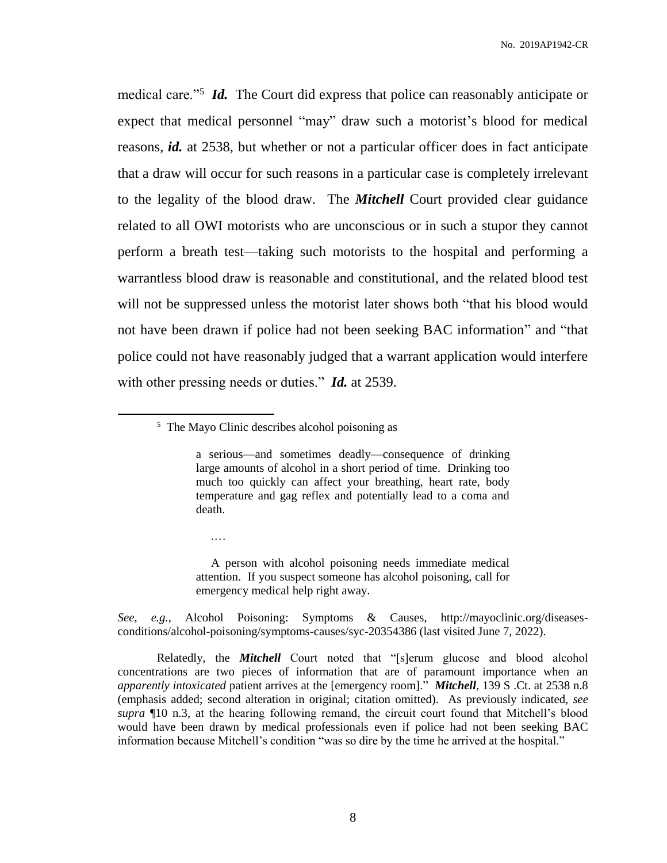medical care."<sup>5</sup> *Id.* The Court did express that police can reasonably anticipate or expect that medical personnel "may" draw such a motorist's blood for medical reasons, *id.* at 2538, but whether or not a particular officer does in fact anticipate that a draw will occur for such reasons in a particular case is completely irrelevant to the legality of the blood draw. The *Mitchell* Court provided clear guidance related to all OWI motorists who are unconscious or in such a stupor they cannot perform a breath test—taking such motorists to the hospital and performing a warrantless blood draw is reasonable and constitutional, and the related blood test will not be suppressed unless the motorist later shows both "that his blood would not have been drawn if police had not been seeking BAC information" and "that police could not have reasonably judged that a warrant application would interfere with other pressing needs or duties." *Id.* at 2539.

.…

 $\overline{a}$ 

 A person with alcohol poisoning needs immediate medical attention. If you suspect someone has alcohol poisoning, call for emergency medical help right away.

*See*, *e.g.,* Alcohol Poisoning: Symptoms & Causes, http://mayoclinic.org/diseasesconditions/alcohol-poisoning/symptoms-causes/syc-20354386 (last visited June 7, 2022).

Relatedly, the *Mitchell* Court noted that "[s]erum glucose and blood alcohol concentrations are two pieces of information that are of paramount importance when an *apparently intoxicated* patient arrives at the [emergency room]." *Mitchell*, 139 S .Ct. at 2538 n.8 (emphasis added; second alteration in original; citation omitted). As previously indicated, *see supra* ¶10 n.3, at the hearing following remand, the circuit court found that Mitchell's blood would have been drawn by medical professionals even if police had not been seeking BAC information because Mitchell's condition "was so dire by the time he arrived at the hospital."

<sup>5</sup> The Mayo Clinic describes alcohol poisoning as

a serious—and sometimes deadly—consequence of drinking large amounts of alcohol in a short period of time. Drinking too much too quickly can affect your breathing, heart rate, body temperature and gag reflex and potentially lead to a coma and death.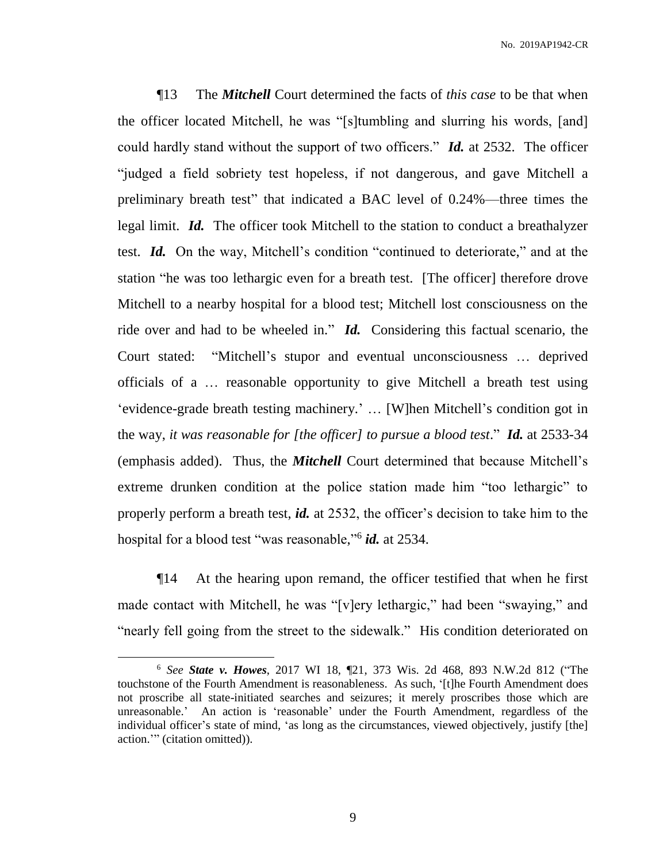¶13 The *Mitchell* Court determined the facts of *this case* to be that when the officer located Mitchell, he was "[s]tumbling and slurring his words, [and] could hardly stand without the support of two officers." *Id.* at 2532. The officer "judged a field sobriety test hopeless, if not dangerous, and gave Mitchell a preliminary breath test" that indicated a BAC level of 0.24%—three times the legal limit. *Id.* The officer took Mitchell to the station to conduct a breathalyzer test. *Id.* On the way, Mitchell's condition "continued to deteriorate," and at the station "he was too lethargic even for a breath test. [The officer] therefore drove Mitchell to a nearby hospital for a blood test; Mitchell lost consciousness on the ride over and had to be wheeled in." *Id.* Considering this factual scenario, the Court stated: "Mitchell's stupor and eventual unconsciousness … deprived officials of a … reasonable opportunity to give Mitchell a breath test using 'evidence-grade breath testing machinery.' … [W]hen Mitchell's condition got in the way, *it was reasonable for [the officer] to pursue a blood test*." *Id.* at 2533-34 (emphasis added). Thus, the *Mitchell* Court determined that because Mitchell's extreme drunken condition at the police station made him "too lethargic" to properly perform a breath test, *id.* at 2532, the officer's decision to take him to the hospital for a blood test "was reasonable," 6 *id.* at 2534.

¶14 At the hearing upon remand, the officer testified that when he first made contact with Mitchell, he was "[v]ery lethargic," had been "swaying," and "nearly fell going from the street to the sidewalk." His condition deteriorated on

 $\overline{a}$ 

<sup>6</sup> *See State v. Howes*, 2017 WI 18, ¶21, 373 Wis. 2d 468, 893 N.W.2d 812 ("The touchstone of the Fourth Amendment is reasonableness. As such, '[t]he Fourth Amendment does not proscribe all state-initiated searches and seizures; it merely proscribes those which are unreasonable.' An action is 'reasonable' under the Fourth Amendment, regardless of the individual officer's state of mind, 'as long as the circumstances, viewed objectively, justify [the] action.'" (citation omitted)).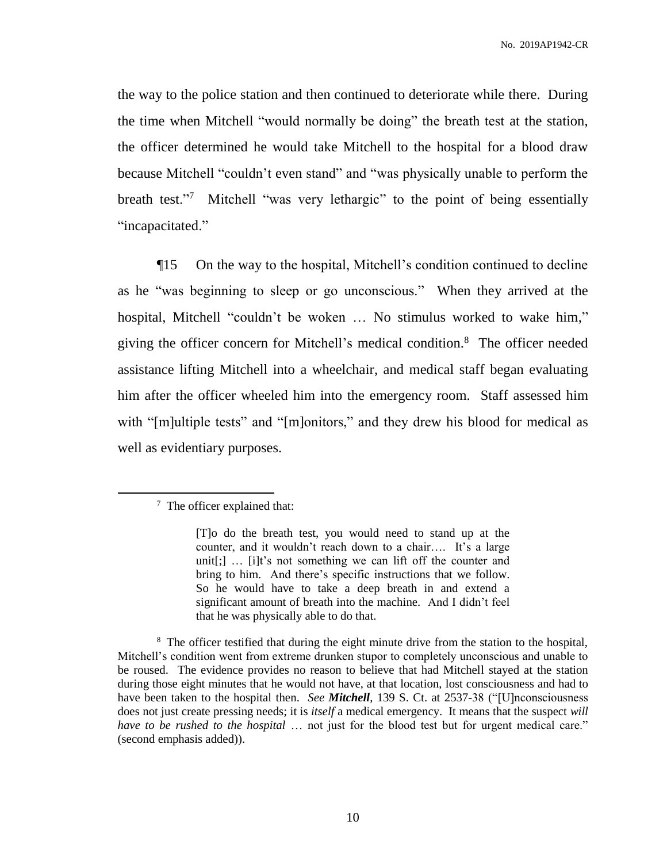the way to the police station and then continued to deteriorate while there. During the time when Mitchell "would normally be doing" the breath test at the station, the officer determined he would take Mitchell to the hospital for a blood draw because Mitchell "couldn't even stand" and "was physically unable to perform the breath test."<sup>7</sup> Mitchell "was very lethargic" to the point of being essentially "incapacitated."

¶15 On the way to the hospital, Mitchell's condition continued to decline as he "was beginning to sleep or go unconscious." When they arrived at the hospital, Mitchell "couldn't be woken … No stimulus worked to wake him," giving the officer concern for Mitchell's medical condition.<sup>8</sup> The officer needed assistance lifting Mitchell into a wheelchair, and medical staff began evaluating him after the officer wheeled him into the emergency room. Staff assessed him with "[m]ultiple tests" and "[m]onitors," and they drew his blood for medical as well as evidentiary purposes.

 $\overline{a}$ 

<sup>8</sup> The officer testified that during the eight minute drive from the station to the hospital, Mitchell's condition went from extreme drunken stupor to completely unconscious and unable to be roused. The evidence provides no reason to believe that had Mitchell stayed at the station during those eight minutes that he would not have, at that location, lost consciousness and had to have been taken to the hospital then. *See Mitchell*, 139 S. Ct. at 2537-38 ("[U]nconsciousness does not just create pressing needs; it is *itself* a medical emergency. It means that the suspect *will have to be rushed to the hospital* … not just for the blood test but for urgent medical care." (second emphasis added)).

 $7$  The officer explained that:

<sup>[</sup>T]o do the breath test, you would need to stand up at the counter, and it wouldn't reach down to a chair…. It's a large unit[;] … [i]t's not something we can lift off the counter and bring to him. And there's specific instructions that we follow. So he would have to take a deep breath in and extend a significant amount of breath into the machine. And I didn't feel that he was physically able to do that.